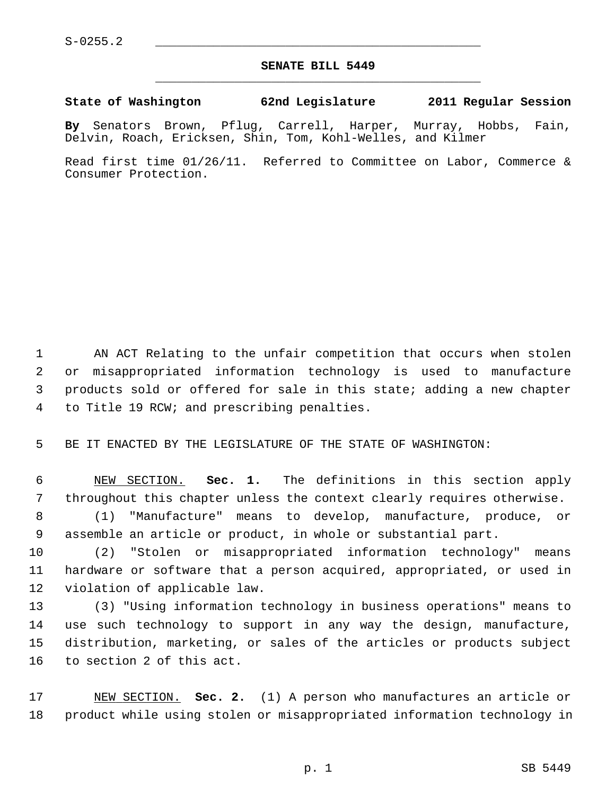## **SENATE BILL 5449** \_\_\_\_\_\_\_\_\_\_\_\_\_\_\_\_\_\_\_\_\_\_\_\_\_\_\_\_\_\_\_\_\_\_\_\_\_\_\_\_\_\_\_\_\_

## **State of Washington 62nd Legislature 2011 Regular Session**

**By** Senators Brown, Pflug, Carrell, Harper, Murray, Hobbs, Fain, Delvin, Roach, Ericksen, Shin, Tom, Kohl-Welles, and Kilmer

Read first time 01/26/11. Referred to Committee on Labor, Commerce & Consumer Protection.

1 AN ACT Relating to the unfair competition that occurs when stolen 2 or misappropriated information technology is used to manufacture 3 products sold or offered for sale in this state; adding a new chapter 4 to Title 19 RCW; and prescribing penalties.

5 BE IT ENACTED BY THE LEGISLATURE OF THE STATE OF WASHINGTON:

 6 NEW SECTION. **Sec. 1.** The definitions in this section apply 7 throughout this chapter unless the context clearly requires otherwise.

 8 (1) "Manufacture" means to develop, manufacture, produce, or 9 assemble an article or product, in whole or substantial part.

10 (2) "Stolen or misappropriated information technology" means 11 hardware or software that a person acquired, appropriated, or used in 12 violation of applicable law.

13 (3) "Using information technology in business operations" means to 14 use such technology to support in any way the design, manufacture, 15 distribution, marketing, or sales of the articles or products subject 16 to section 2 of this act.

17 NEW SECTION. **Sec. 2.** (1) A person who manufactures an article or 18 product while using stolen or misappropriated information technology in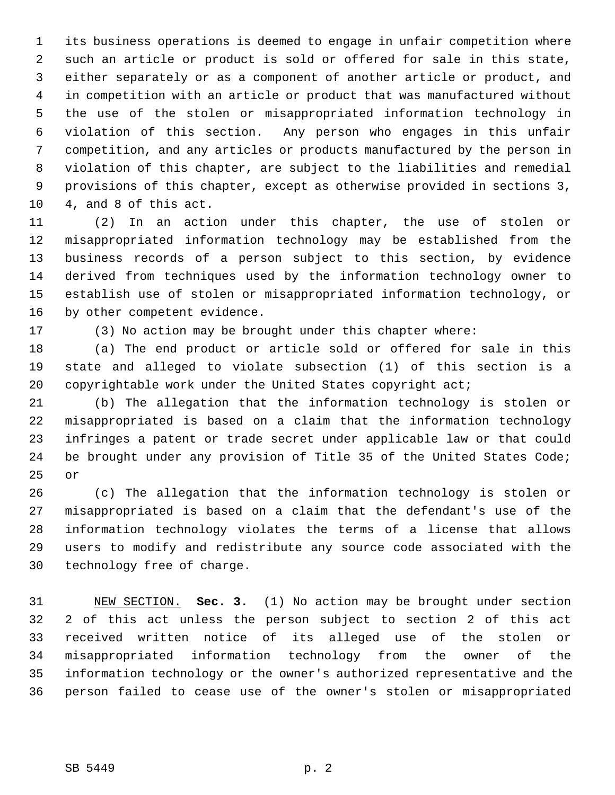1 its business operations is deemed to engage in unfair competition where 2 such an article or product is sold or offered for sale in this state, 3 either separately or as a component of another article or product, and 4 in competition with an article or product that was manufactured without 5 the use of the stolen or misappropriated information technology in 6 violation of this section. Any person who engages in this unfair 7 competition, and any articles or products manufactured by the person in 8 violation of this chapter, are subject to the liabilities and remedial 9 provisions of this chapter, except as otherwise provided in sections 3, 10 4, and 8 of this act.

11 (2) In an action under this chapter, the use of stolen or 12 misappropriated information technology may be established from the 13 business records of a person subject to this section, by evidence 14 derived from techniques used by the information technology owner to 15 establish use of stolen or misappropriated information technology, or 16 by other competent evidence.

17 (3) No action may be brought under this chapter where:

18 (a) The end product or article sold or offered for sale in this 19 state and alleged to violate subsection (1) of this section is a 20 copyrightable work under the United States copyright act;

21 (b) The allegation that the information technology is stolen or 22 misappropriated is based on a claim that the information technology 23 infringes a patent or trade secret under applicable law or that could 24 be brought under any provision of Title 35 of the United States Code; 25 or

26 (c) The allegation that the information technology is stolen or 27 misappropriated is based on a claim that the defendant's use of the 28 information technology violates the terms of a license that allows 29 users to modify and redistribute any source code associated with the 30 technology free of charge.

31 NEW SECTION. **Sec. 3.** (1) No action may be brought under section 32 2 of this act unless the person subject to section 2 of this act 33 received written notice of its alleged use of the stolen or 34 misappropriated information technology from the owner of the 35 information technology or the owner's authorized representative and the 36 person failed to cease use of the owner's stolen or misappropriated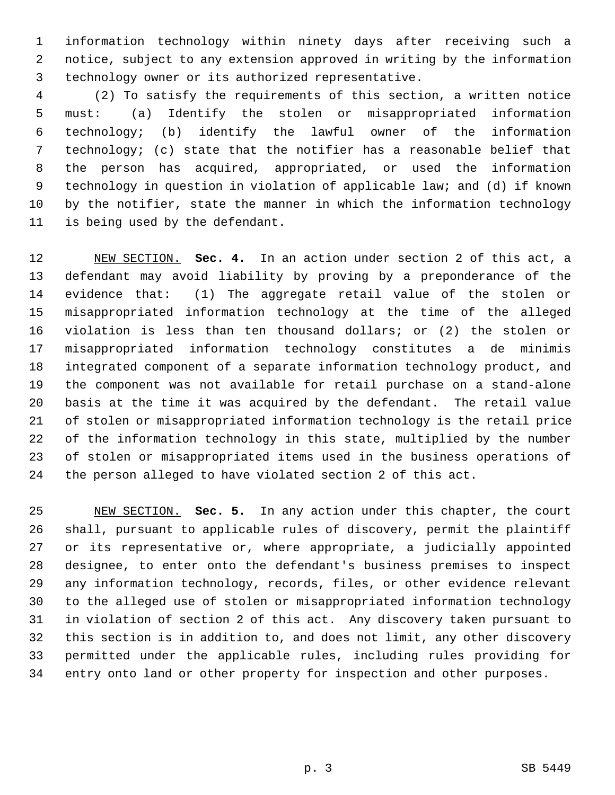1 information technology within ninety days after receiving such a 2 notice, subject to any extension approved in writing by the information 3 technology owner or its authorized representative.

 4 (2) To satisfy the requirements of this section, a written notice 5 must: (a) Identify the stolen or misappropriated information 6 technology; (b) identify the lawful owner of the information 7 technology; (c) state that the notifier has a reasonable belief that 8 the person has acquired, appropriated, or used the information 9 technology in question in violation of applicable law; and (d) if known 10 by the notifier, state the manner in which the information technology 11 is being used by the defendant.

12 NEW SECTION. **Sec. 4.** In an action under section 2 of this act, a 13 defendant may avoid liability by proving by a preponderance of the 14 evidence that: (1) The aggregate retail value of the stolen or 15 misappropriated information technology at the time of the alleged 16 violation is less than ten thousand dollars; or (2) the stolen or 17 misappropriated information technology constitutes a de minimis 18 integrated component of a separate information technology product, and 19 the component was not available for retail purchase on a stand-alone 20 basis at the time it was acquired by the defendant. The retail value 21 of stolen or misappropriated information technology is the retail price 22 of the information technology in this state, multiplied by the number 23 of stolen or misappropriated items used in the business operations of 24 the person alleged to have violated section 2 of this act.

25 NEW SECTION. **Sec. 5.** In any action under this chapter, the court 26 shall, pursuant to applicable rules of discovery, permit the plaintiff 27 or its representative or, where appropriate, a judicially appointed 28 designee, to enter onto the defendant's business premises to inspect 29 any information technology, records, files, or other evidence relevant 30 to the alleged use of stolen or misappropriated information technology 31 in violation of section 2 of this act. Any discovery taken pursuant to 32 this section is in addition to, and does not limit, any other discovery 33 permitted under the applicable rules, including rules providing for 34 entry onto land or other property for inspection and other purposes.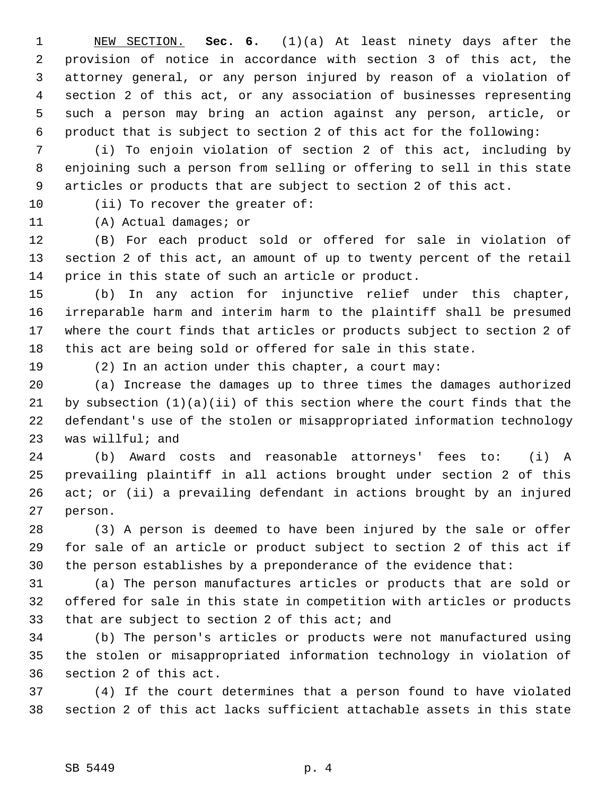1 NEW SECTION. **Sec. 6.** (1)(a) At least ninety days after the 2 provision of notice in accordance with section 3 of this act, the 3 attorney general, or any person injured by reason of a violation of 4 section 2 of this act, or any association of businesses representing 5 such a person may bring an action against any person, article, or 6 product that is subject to section 2 of this act for the following:

 7 (i) To enjoin violation of section 2 of this act, including by 8 enjoining such a person from selling or offering to sell in this state 9 articles or products that are subject to section 2 of this act.

10 (ii) To recover the greater of:

11 (A) Actual damages; or

12 (B) For each product sold or offered for sale in violation of 13 section 2 of this act, an amount of up to twenty percent of the retail 14 price in this state of such an article or product.

15 (b) In any action for injunctive relief under this chapter, 16 irreparable harm and interim harm to the plaintiff shall be presumed 17 where the court finds that articles or products subject to section 2 of 18 this act are being sold or offered for sale in this state.

19 (2) In an action under this chapter, a court may:

20 (a) Increase the damages up to three times the damages authorized 21 by subsection (1)(a)(ii) of this section where the court finds that the 22 defendant's use of the stolen or misappropriated information technology 23 was willful; and

24 (b) Award costs and reasonable attorneys' fees to: (i) A 25 prevailing plaintiff in all actions brought under section 2 of this 26 act; or (ii) a prevailing defendant in actions brought by an injured 27 person.

28 (3) A person is deemed to have been injured by the sale or offer 29 for sale of an article or product subject to section 2 of this act if 30 the person establishes by a preponderance of the evidence that:

31 (a) The person manufactures articles or products that are sold or 32 offered for sale in this state in competition with articles or products 33 that are subject to section 2 of this act; and

34 (b) The person's articles or products were not manufactured using 35 the stolen or misappropriated information technology in violation of 36 section 2 of this act.

37 (4) If the court determines that a person found to have violated 38 section 2 of this act lacks sufficient attachable assets in this state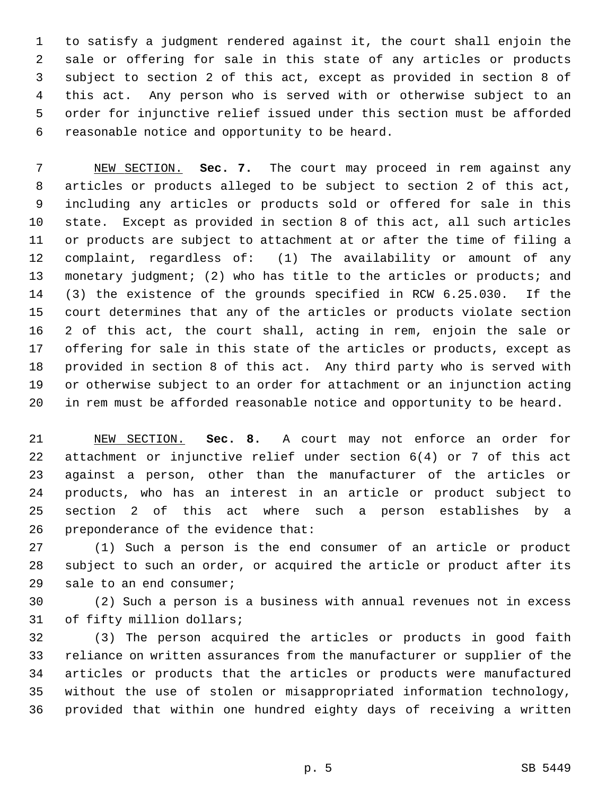1 to satisfy a judgment rendered against it, the court shall enjoin the 2 sale or offering for sale in this state of any articles or products 3 subject to section 2 of this act, except as provided in section 8 of 4 this act. Any person who is served with or otherwise subject to an 5 order for injunctive relief issued under this section must be afforded 6 reasonable notice and opportunity to be heard.

 7 NEW SECTION. **Sec. 7.** The court may proceed in rem against any 8 articles or products alleged to be subject to section 2 of this act, 9 including any articles or products sold or offered for sale in this 10 state. Except as provided in section 8 of this act, all such articles 11 or products are subject to attachment at or after the time of filing a 12 complaint, regardless of: (1) The availability or amount of any 13 monetary judgment; (2) who has title to the articles or products; and 14 (3) the existence of the grounds specified in RCW 6.25.030. If the 15 court determines that any of the articles or products violate section 16 2 of this act, the court shall, acting in rem, enjoin the sale or 17 offering for sale in this state of the articles or products, except as 18 provided in section 8 of this act. Any third party who is served with 19 or otherwise subject to an order for attachment or an injunction acting 20 in rem must be afforded reasonable notice and opportunity to be heard.

21 NEW SECTION. **Sec. 8.** A court may not enforce an order for 22 attachment or injunctive relief under section 6(4) or 7 of this act 23 against a person, other than the manufacturer of the articles or 24 products, who has an interest in an article or product subject to 25 section 2 of this act where such a person establishes by a 26 preponderance of the evidence that:

27 (1) Such a person is the end consumer of an article or product 28 subject to such an order, or acquired the article or product after its 29 sale to an end consumer;

30 (2) Such a person is a business with annual revenues not in excess 31 of fifty million dollars;

32 (3) The person acquired the articles or products in good faith 33 reliance on written assurances from the manufacturer or supplier of the 34 articles or products that the articles or products were manufactured 35 without the use of stolen or misappropriated information technology, 36 provided that within one hundred eighty days of receiving a written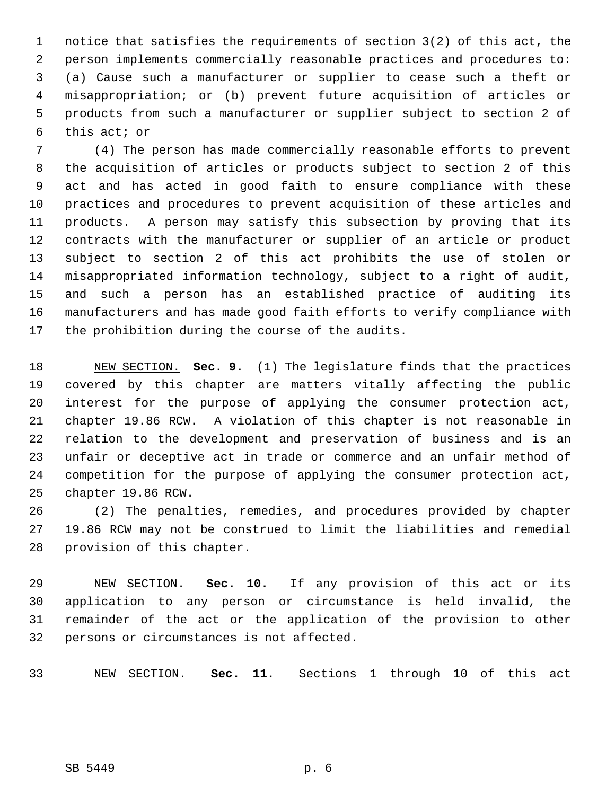1 notice that satisfies the requirements of section 3(2) of this act, the 2 person implements commercially reasonable practices and procedures to: 3 (a) Cause such a manufacturer or supplier to cease such a theft or 4 misappropriation; or (b) prevent future acquisition of articles or 5 products from such a manufacturer or supplier subject to section 2 of 6 this act; or

 7 (4) The person has made commercially reasonable efforts to prevent 8 the acquisition of articles or products subject to section 2 of this 9 act and has acted in good faith to ensure compliance with these 10 practices and procedures to prevent acquisition of these articles and 11 products. A person may satisfy this subsection by proving that its 12 contracts with the manufacturer or supplier of an article or product 13 subject to section 2 of this act prohibits the use of stolen or 14 misappropriated information technology, subject to a right of audit, 15 and such a person has an established practice of auditing its 16 manufacturers and has made good faith efforts to verify compliance with 17 the prohibition during the course of the audits.

18 NEW SECTION. **Sec. 9.** (1) The legislature finds that the practices 19 covered by this chapter are matters vitally affecting the public 20 interest for the purpose of applying the consumer protection act, 21 chapter 19.86 RCW. A violation of this chapter is not reasonable in 22 relation to the development and preservation of business and is an 23 unfair or deceptive act in trade or commerce and an unfair method of 24 competition for the purpose of applying the consumer protection act, 25 chapter 19.86 RCW.

26 (2) The penalties, remedies, and procedures provided by chapter 27 19.86 RCW may not be construed to limit the liabilities and remedial 28 provision of this chapter.

29 NEW SECTION. **Sec. 10.** If any provision of this act or its 30 application to any person or circumstance is held invalid, the 31 remainder of the act or the application of the provision to other 32 persons or circumstances is not affected.

33 NEW SECTION. **Sec. 11.** Sections 1 through 10 of this act